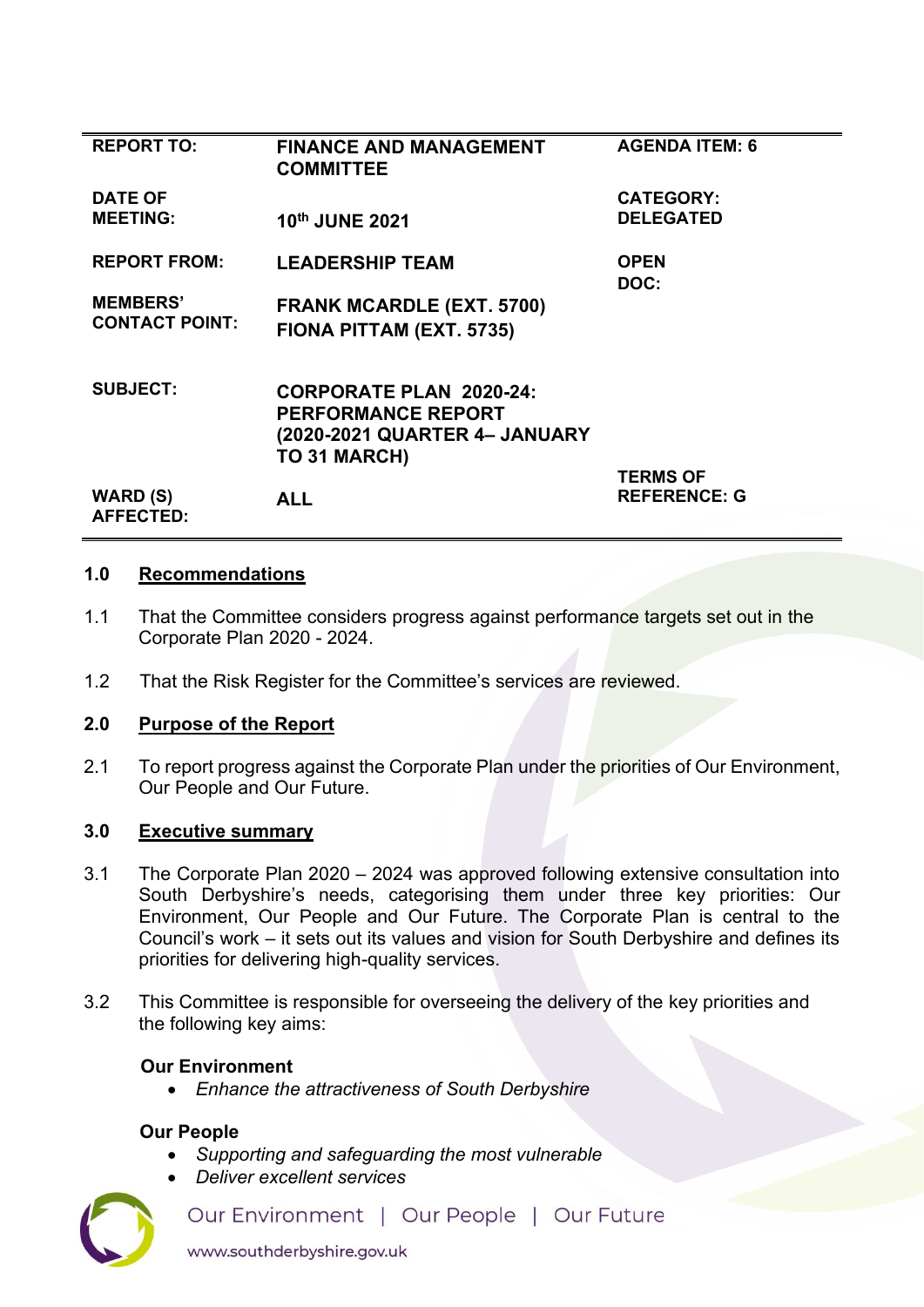| <b>REPORT TO:</b>                   | <b>FINANCE AND MANAGEMENT</b><br><b>COMMITTEE</b> | <b>AGENDA ITEM: 6</b> |
|-------------------------------------|---------------------------------------------------|-----------------------|
| <b>DATE OF</b>                      |                                                   | <b>CATEGORY:</b>      |
| <b>MEETING:</b>                     | 10th JUNE 2021                                    | <b>DELEGATED</b>      |
| <b>REPORT FROM:</b>                 | <b>LEADERSHIP TEAM</b>                            | <b>OPEN</b>           |
|                                     |                                                   | DOC:                  |
| <b>MEMBERS'</b>                     | <b>FRANK MCARDLE (EXT. 5700)</b>                  |                       |
| <b>CONTACT POINT:</b>               | FIONA PITTAM (EXT. 5735)                          |                       |
| <b>SUBJECT:</b>                     | <b>CORPORATE PLAN 2020-24:</b>                    |                       |
|                                     | <b>PERFORMANCE REPORT</b>                         |                       |
|                                     | (2020-2021 QUARTER 4- JANUARY                     |                       |
|                                     | TO 31 MARCH)                                      |                       |
|                                     |                                                   | <b>TERMS OF</b>       |
| <b>WARD (S)</b><br><b>AFFECTED:</b> | <b>ALL</b>                                        | <b>REFERENCE: G</b>   |
|                                     |                                                   |                       |

## **1.0 Recommendations**

- 1.1 That the Committee considers progress against performance targets set out in the Corporate Plan 2020 - 2024.
- 1.2 That the Risk Register for the Committee's services are reviewed.

## **2.0 Purpose of the Report**

2.1 To report progress against the Corporate Plan under the priorities of Our Environment, Our People and Our Future.

## **3.0 Executive summary**

- 3.1 The Corporate Plan 2020 2024 was approved following extensive consultation into South Derbyshire's needs, categorising them under three key priorities: Our Environment, Our People and Our Future. The Corporate Plan is central to the Council's work – it sets out its values and vision for South Derbyshire and defines its priorities for delivering high-quality services.
- 3.2 This Committee is responsible for overseeing the delivery of the key priorities and the following key aims:

#### **Our Environment**

• *Enhance the attractiveness of South Derbyshire* 

## **Our People**

- *Supporting and safeguarding the most vulnerable*
- *Deliver excellent services*

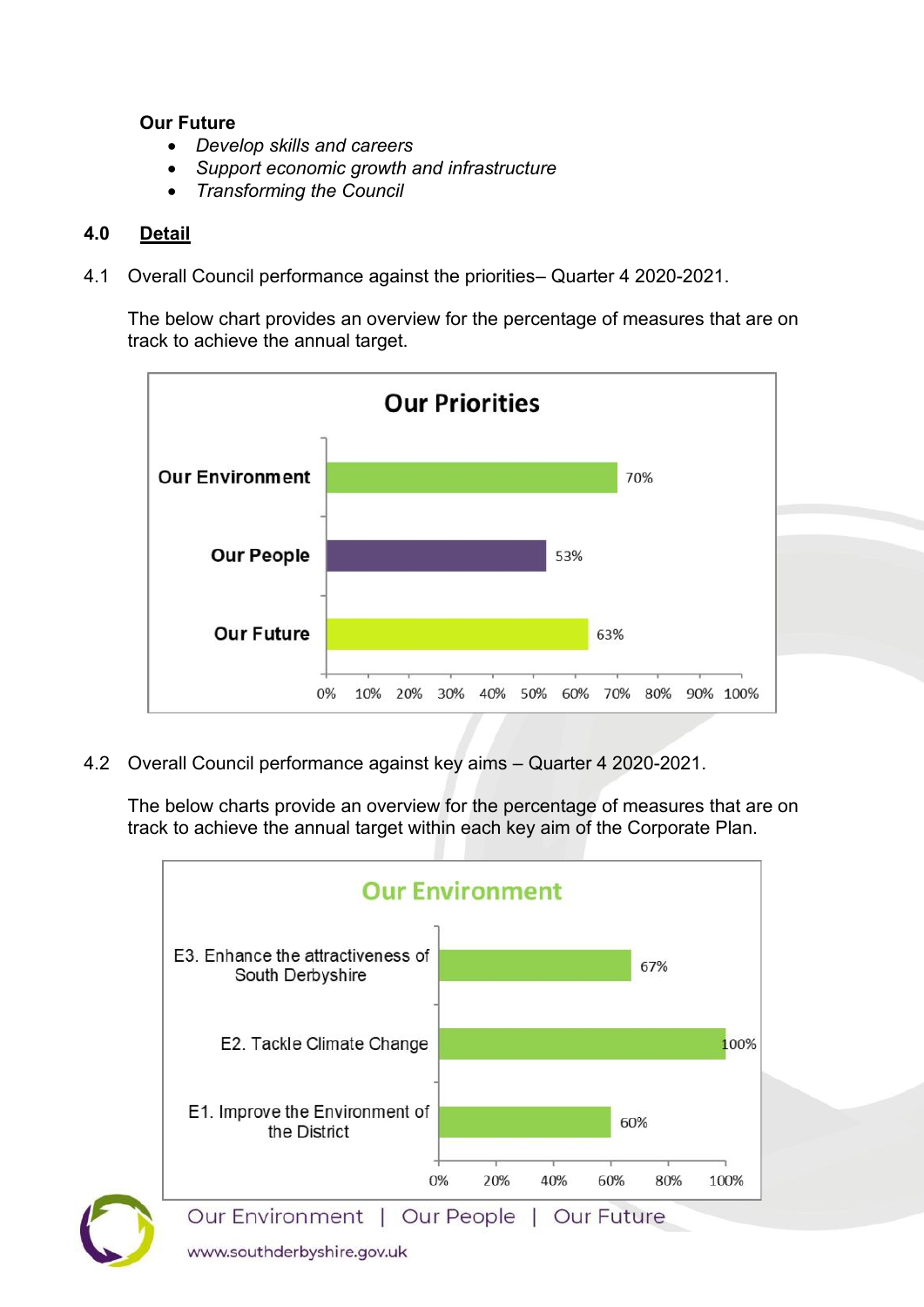## **Our Future**

- *Develop skills and careers*
- *Support economic growth and infrastructure*
- *Transforming the Council*

# **4.0 Detail**

4.1 Overall Council performance against the priorities– Quarter 4 2020-2021.

 The below chart provides an overview for the percentage of measures that are on track to achieve the annual target.



4.2 Overall Council performance against key aims – Quarter 4 2020-2021.

 The below charts provide an overview for the percentage of measures that are on track to achieve the annual target within each key aim of the Corporate Plan.

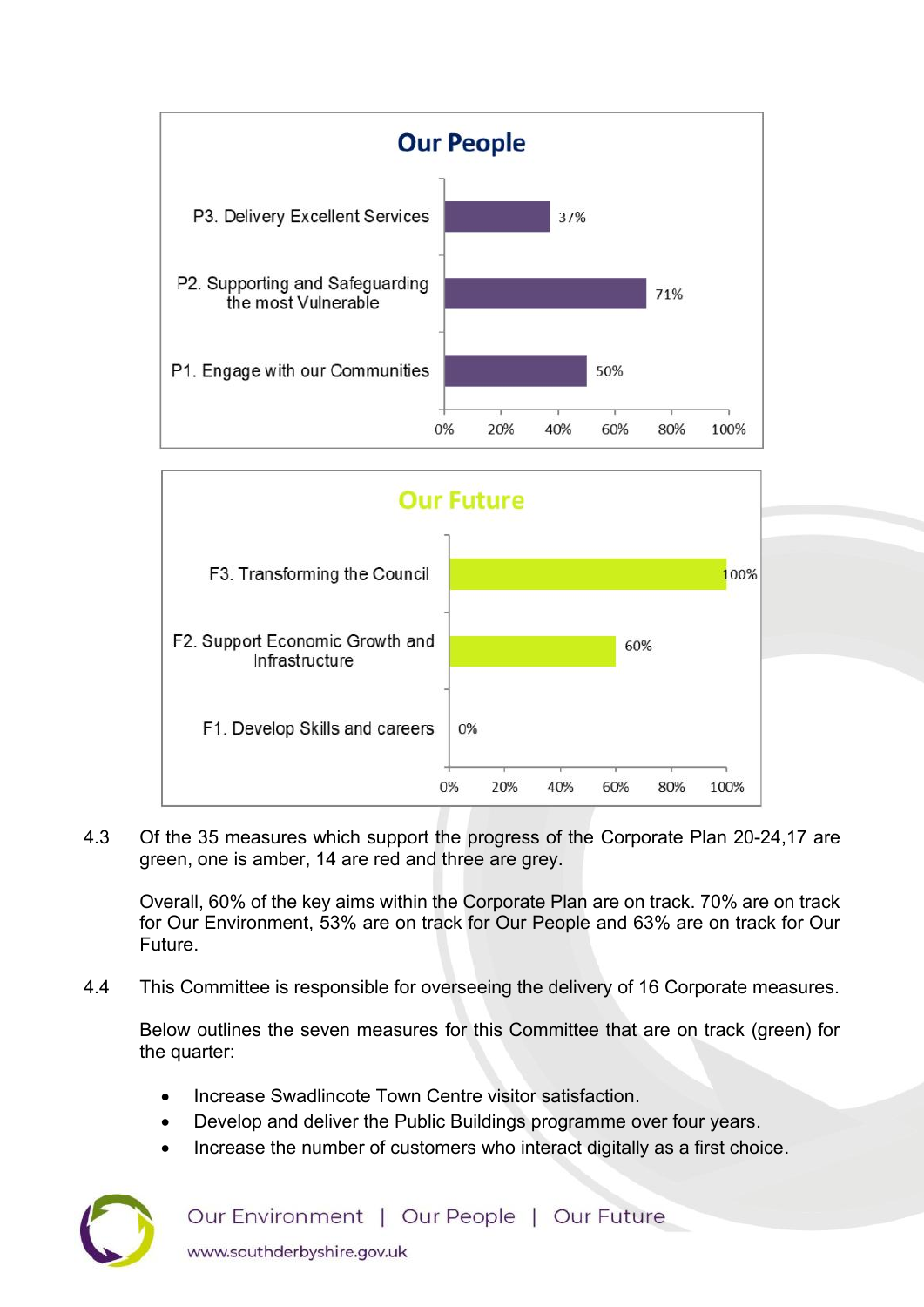



4.3 Of the 35 measures which support the progress of the Corporate Plan 20-24,17 are green, one is amber, 14 are red and three are grey.

Overall, 60% of the key aims within the Corporate Plan are on track. 70% are on track for Our Environment, 53% are on track for Our People and 63% are on track for Our Future.

4.4 This Committee is responsible for overseeing the delivery of 16 Corporate measures.

Below outlines the seven measures for this Committee that are on track (green) for the quarter:

- Increase Swadlincote Town Centre visitor satisfaction.
- Develop and deliver the Public Buildings programme over four years.
- [Increase the number of customers who interact digitally as a first choice.](https://southderbyshiregovuk.sharepoint.com/:w:/g/ERBlXwIN5i9It53WD-41148B1j_Xhoszu9rFmw-my7ct_w?e=3axgeV)



Our Environment | Our People | Our Future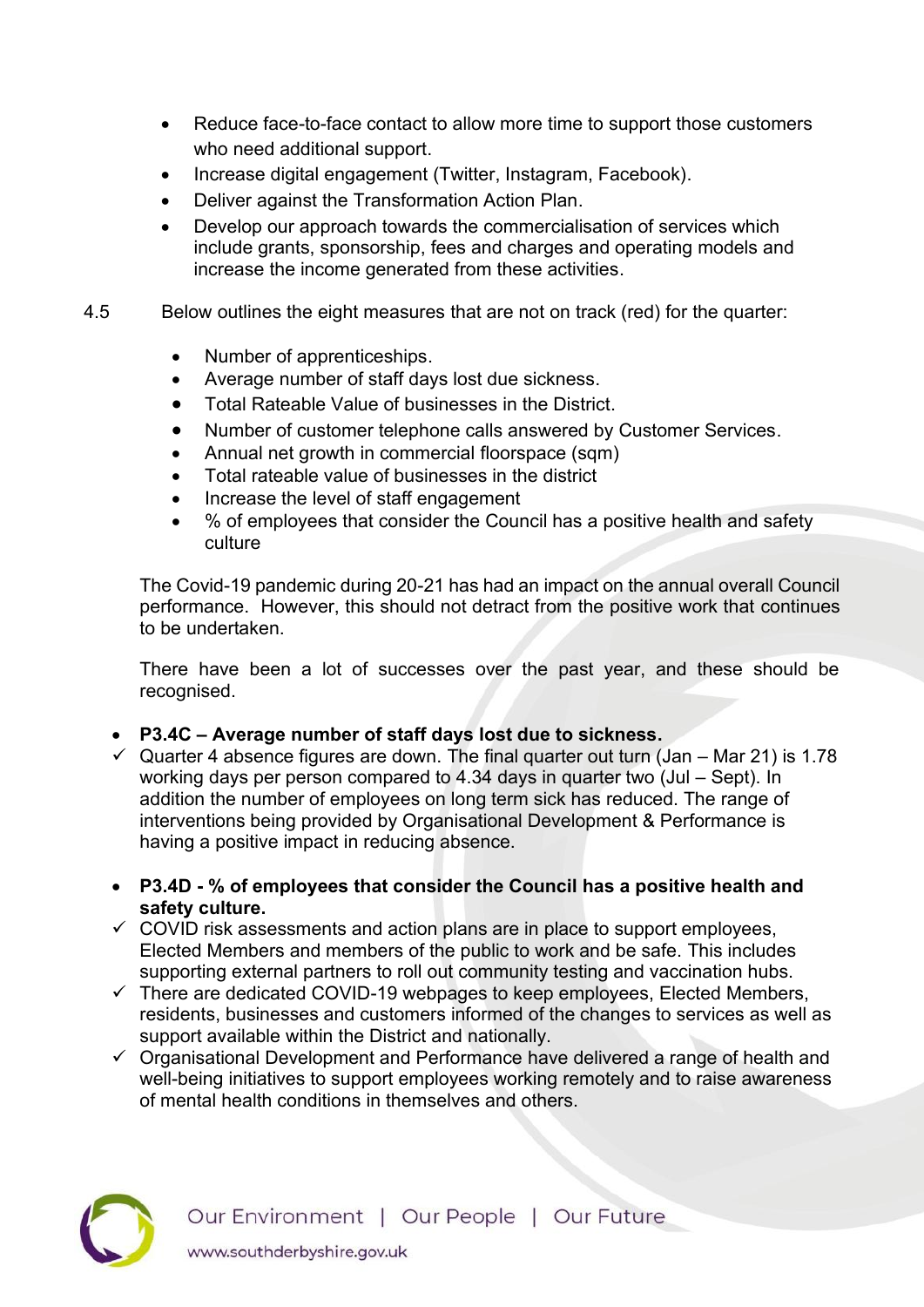- [Reduce face-to-face contact to allow more time to support those customers](https://southderbyshiregovuk.sharepoint.com/:w:/g/ERsK_2eQOEFCtLQbdQzaTuAByPro1sawtMCs4YszErr-pw?e=bdTysg)  [who need additional support.](https://southderbyshiregovuk.sharepoint.com/:w:/g/ERsK_2eQOEFCtLQbdQzaTuAByPro1sawtMCs4YszErr-pw?e=bdTysg)
- [Increase digital engagement \(Twitter, Instagram, Facebook\).](https://southderbyshiregovuk.sharepoint.com/:w:/g/EU7_hHmehltAqnFXv5MZTVMBldRppq-lEM681waYAZKfIA?e=fKJfsc)
- [Deliver against the Transformation Action Plan.](https://southderbyshiregovuk.sharepoint.com/:w:/g/EWygLyTFirlHupC7gA2GUHQBxytpxB_EWezcDzPs8xKAjQ?e=m7zrdc)
- [Develop our approach towards the commercialisation of services which](https://southderbyshiregovuk.sharepoint.com/:w:/g/EdRZL78XqTBHpZm4ut-IXvcBQqZMtxcigHIZvBKTBciDAg?e=PfK6EA)  [include grants, sponsorship, fees and charges and operating models and](https://southderbyshiregovuk.sharepoint.com/:w:/g/EdRZL78XqTBHpZm4ut-IXvcBQqZMtxcigHIZvBKTBciDAg?e=PfK6EA)  [increase the income generated from these activities.](https://southderbyshiregovuk.sharepoint.com/:w:/g/EdRZL78XqTBHpZm4ut-IXvcBQqZMtxcigHIZvBKTBciDAg?e=PfK6EA)
- 4.5 Below outlines the eight measures that are not on track (red) for the quarter:
	- Number of apprenticeships.
	- Average number of staff days lost due sickness.
	- Total Rateable Value of businesses in the District.
	- Number of customer telephone calls answered by Customer Services.
	- Annual net growth in commercial floorspace (sqm)
	- Total rateable value of businesses in the district
	- Increase the level of staff engagement
	- % of employees that consider the Council has a positive health and safety culture

The Covid-19 pandemic during 20-21 has had an impact on the annual overall Council performance. However, this should not detract from the positive work that continues to be undertaken.

There have been a lot of successes over the past year, and these should be recognised.

- **P3.4C – Average number of staff days lost due to sickness.**
- $\checkmark$  Quarter 4 absence figures are down. The final quarter out turn (Jan Mar 21) is 1.78 working days per person compared to 4.34 days in quarter two (Jul – Sept). In addition the number of employees on long term sick has reduced. The range of interventions being provided by Organisational Development & Performance is having a positive impact in reducing absence.
- **P3.4D % of employees that consider the Council has a positive health and safety culture.**
- $\checkmark$  COVID risk assessments and action plans are in place to support employees, Elected Members and members of the public to work and be safe. This includes supporting external partners to roll out community testing and vaccination hubs.
- $\checkmark$  There are dedicated COVID-19 webpages to keep employees, Elected Members, residents, businesses and customers informed of the changes to services as well as support available within the District and nationally.
- ✓ Organisational Development and Performance have delivered a range of health and well-being initiatives to support employees working remotely and to raise awareness of mental health conditions in themselves and others.

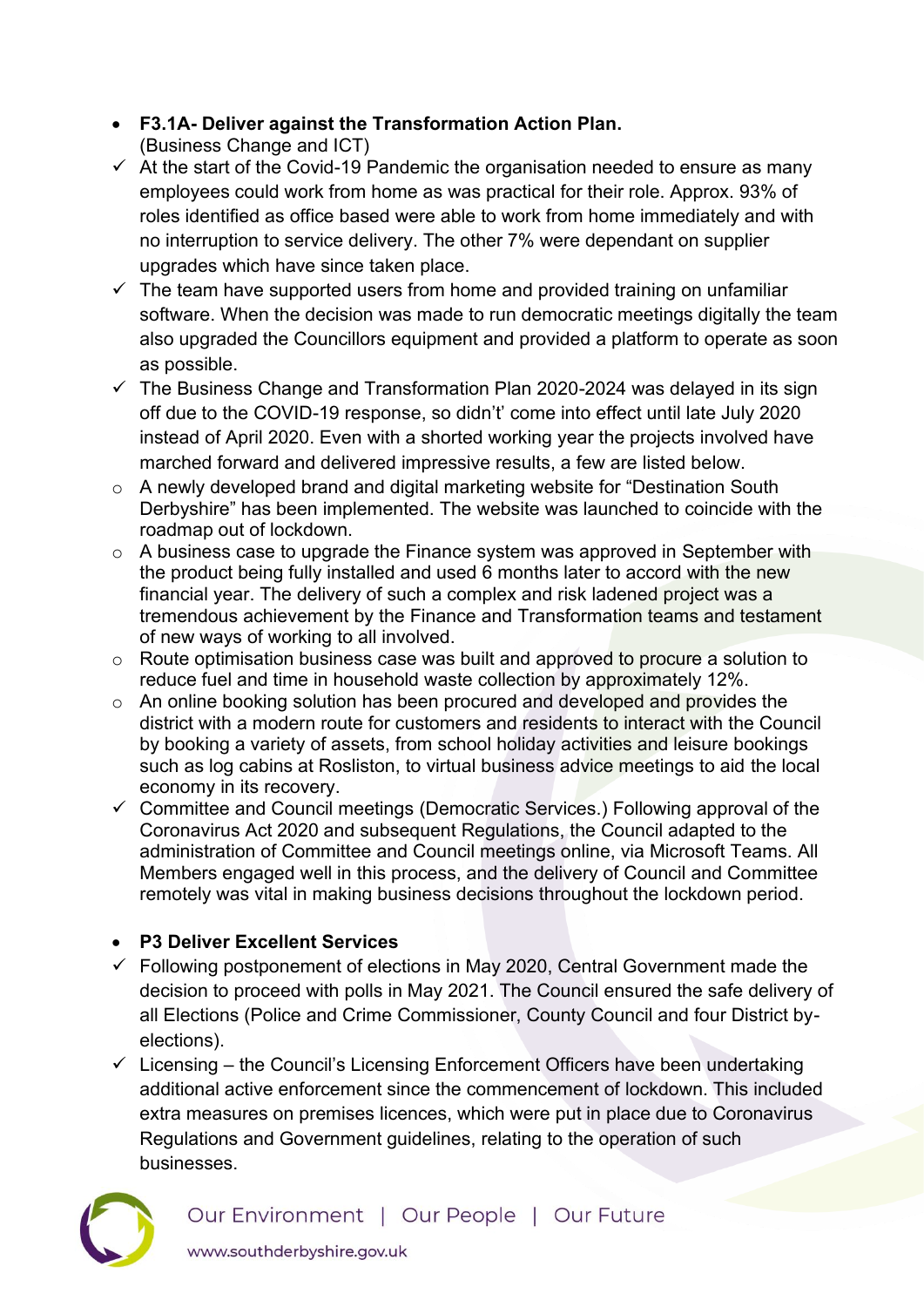- **F3.1A- Deliver against the Transformation Action Plan.** (Business Change and ICT)
- ✓ At the start of the Covid-19 Pandemic the organisation needed to ensure as many employees could work from home as was practical for their role. Approx. 93% of roles identified as office based were able to work from home immediately and with no interruption to service delivery. The other 7% were dependant on supplier upgrades which have since taken place.
- $\checkmark$  The team have supported users from home and provided training on unfamiliar software. When the decision was made to run democratic meetings digitally the team also upgraded the Councillors equipment and provided a platform to operate as soon as possible.
- $\checkmark$  The Business Change and Transformation Plan 2020-2024 was delayed in its sign off due to the COVID-19 response, so didn't' come into effect until late July 2020 instead of April 2020. Even with a shorted working year the projects involved have marched forward and delivered impressive results, a few are listed below.
- o A newly developed brand and digital marketing website for "Destination South Derbyshire" has been implemented. The website was launched to coincide with the roadmap out of lockdown.
- o A business case to upgrade the Finance system was approved in September with the product being fully installed and used 6 months later to accord with the new financial year. The delivery of such a complex and risk ladened project was a tremendous achievement by the Finance and Transformation teams and testament of new ways of working to all involved.
- o Route optimisation business case was built and approved to procure a solution to reduce fuel and time in household waste collection by approximately 12%.
- o An online booking solution has been procured and developed and provides the district with a modern route for customers and residents to interact with the Council by booking a variety of assets, from school holiday activities and leisure bookings such as log cabins at Rosliston, to virtual business advice meetings to aid the local economy in its recovery.
- ✓ Committee and Council meetings (Democratic Services.) Following approval of the Coronavirus Act 2020 and subsequent Regulations, the Council adapted to the administration of Committee and Council meetings online, via Microsoft Teams. All Members engaged well in this process, and the delivery of Council and Committee remotely was vital in making business decisions throughout the lockdown period.

# • **P3 Deliver Excellent Services**

- $\checkmark$  Following postponement of elections in May 2020, Central Government made the decision to proceed with polls in May 2021. The Council ensured the safe delivery of all Elections (Police and Crime Commissioner, County Council and four District byelections).
- $\checkmark$  Licensing the Council's Licensing Enforcement Officers have been undertaking additional active enforcement since the commencement of lockdown. This included extra measures on premises licences, which were put in place due to Coronavirus Regulations and Government guidelines, relating to the operation of such businesses.

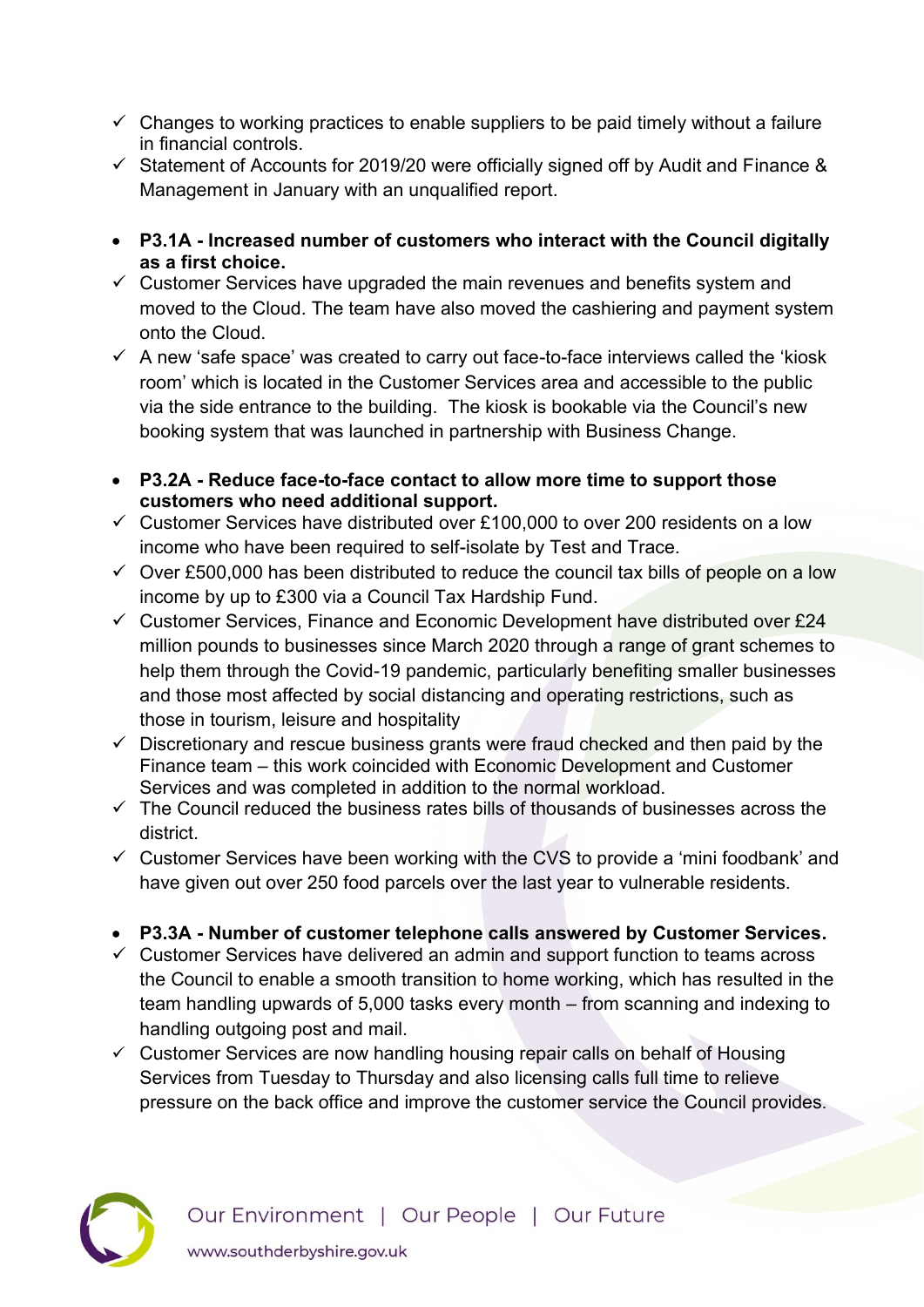- $\checkmark$  Changes to working practices to enable suppliers to be paid timely without a failure in financial controls.
- $\checkmark$  Statement of Accounts for 2019/20 were officially signed off by Audit and Finance & Management in January with an unqualified report.
- **P3.1A Increased number of customers who interact with the Council digitally as a first choice.**
- $\checkmark$  Customer Services have upgraded the main revenues and benefits system and moved to the Cloud. The team have also moved the cashiering and payment system onto the Cloud.
- $\checkmark$  A new 'safe space' was created to carry out face-to-face interviews called the 'kiosk room' which is located in the Customer Services area and accessible to the public via the side entrance to the building. The kiosk is bookable via the Council's new booking system that was launched in partnership with Business Change.
- **P3.2A Reduce face-to-face contact to allow more time to support those customers who need additional support.**
- $\checkmark$  Customer Services have distributed over £100,000 to over 200 residents on a low income who have been required to self-isolate by Test and Trace.
- $\checkmark$  Over £500,000 has been distributed to reduce the council tax bills of people on a low income by up to £300 via a Council Tax Hardship Fund.
- $\checkmark$  Customer Services, Finance and Economic Development have distributed over £24 million pounds to businesses since March 2020 through a range of grant schemes to help them through the Covid-19 pandemic, particularly benefiting smaller businesses and those most affected by social distancing and operating restrictions, such as those in tourism, leisure and hospitality
- $\checkmark$  Discretionary and rescue business grants were fraud checked and then paid by the Finance team – this work coincided with Economic Development and Customer Services and was completed in addition to the normal workload.
- $\checkmark$  The Council reduced the business rates bills of thousands of businesses across the district.
- $\checkmark$  Customer Services have been working with the CVS to provide a 'mini foodbank' and have given out over 250 food parcels over the last year to vulnerable residents.
- **P3.3A Number of customer telephone calls answered by Customer Services.**
- $\checkmark$  Customer Services have delivered an admin and support function to teams across the Council to enable a smooth transition to home working, which has resulted in the team handling upwards of 5,000 tasks every month – from scanning and indexing to handling outgoing post and mail.
- $\checkmark$  Customer Services are now handling housing repair calls on behalf of Housing Services from Tuesday to Thursday and also licensing calls full time to relieve pressure on the back office and improve the customer service the Council provides.

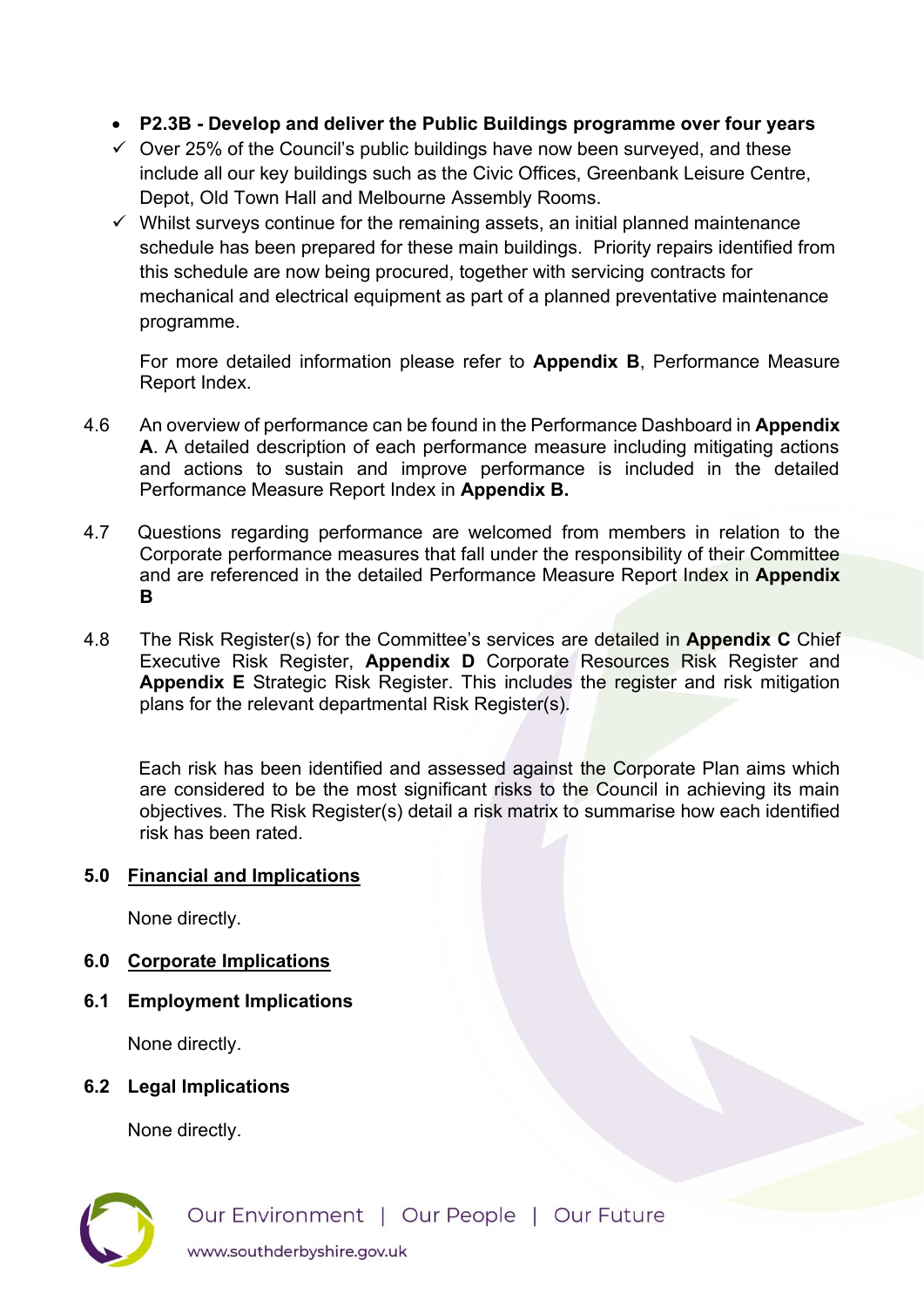- **P2.3B Develop and deliver the Public Buildings programme over four years**
- $\checkmark$  Over 25% of the Council's public buildings have now been surveyed, and these include all our key buildings such as the Civic Offices, Greenbank Leisure Centre, Depot, Old Town Hall and Melbourne Assembly Rooms.
- $\checkmark$  Whilst surveys continue for the remaining assets, an initial planned maintenance schedule has been prepared for these main buildings. Priority repairs identified from this schedule are now being procured, together with servicing contracts for mechanical and electrical equipment as part of a planned preventative maintenance programme.

For more detailed information please refer to **Appendix B**, Performance Measure Report Index.

- 4.6 An overview of performance can be found in the Performance Dashboard in **Appendix A**. A detailed description of each performance measure including mitigating actions and actions to sustain and improve performance is included in the detailed Performance Measure Report Index in **Appendix B.**
- 4.7 Questions regarding performance are welcomed from members in relation to the Corporate performance measures that fall under the responsibility of their Committee and are referenced in the detailed Performance Measure Report Index in **Appendix B**
- 4.8 The Risk Register(s) for the Committee's services are detailed in **Appendix C** Chief Executive Risk Register, **Appendix D** Corporate Resources Risk Register and **Appendix E** Strategic Risk Register. This includes the register and risk mitigation plans for the relevant departmental Risk Register(s).

Each risk has been identified and assessed against the Corporate Plan aims which are considered to be the most significant risks to the Council in achieving its main objectives. The Risk Register(s) detail a risk matrix to summarise how each identified risk has been rated.

## **5.0 Financial and Implications**

None directly.

- **6.0 Corporate Implications**
- **6.1 Employment Implications**

None directly.

# **6.2 Legal Implications**

None directly.

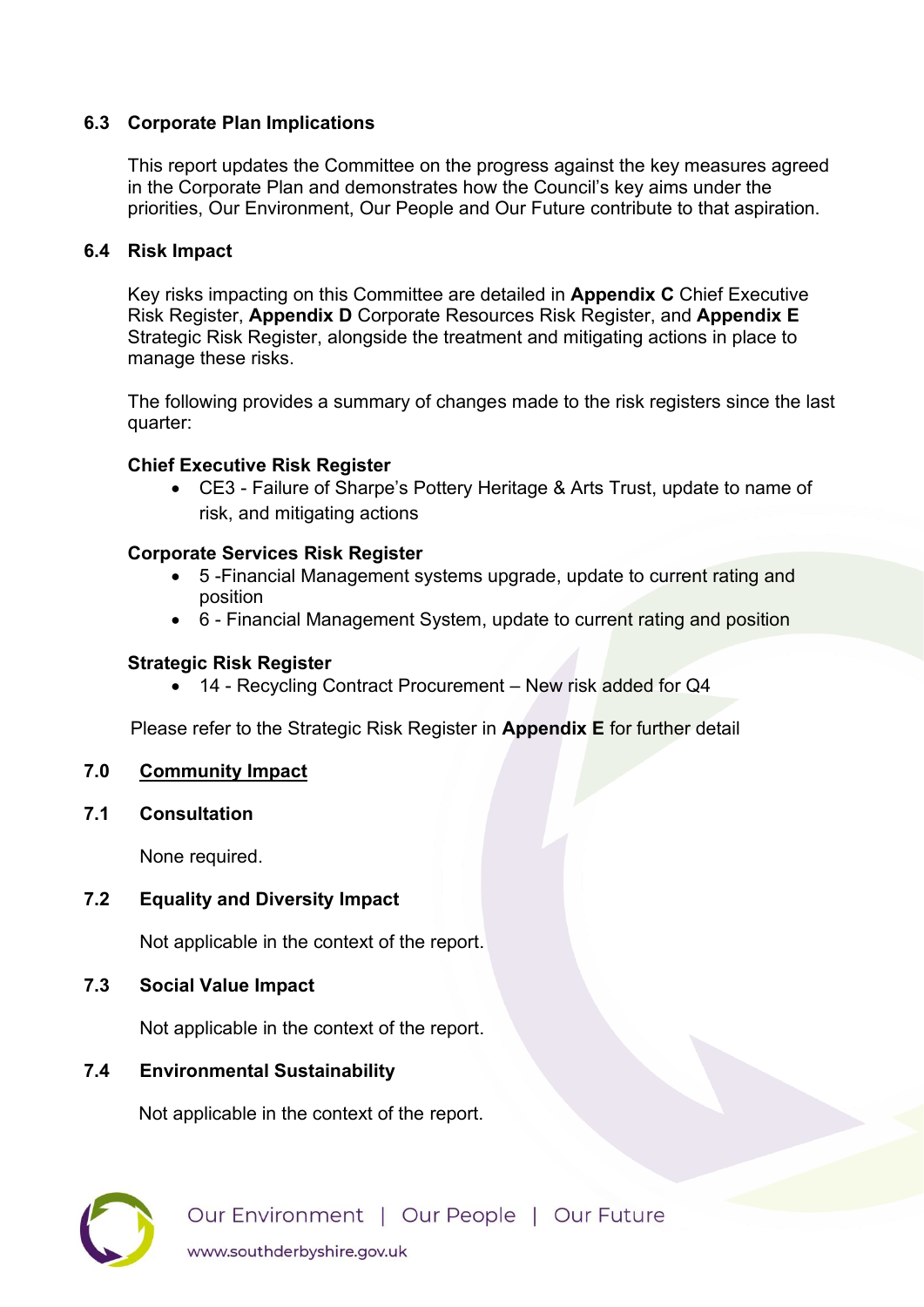# **6.3 Corporate Plan Implications**

 This report updates the Committee on the progress against the key measures agreed in the Corporate Plan and demonstrates how the Council's key aims under the priorities, Our Environment, Our People and Our Future contribute to that aspiration.

## **6.4 Risk Impact**

 Key risks impacting on this Committee are detailed in **Appendix C** Chief Executive Risk Register, **Appendix D** Corporate Resources Risk Register, and **Appendix E** Strategic Risk Register, alongside the treatment and mitigating actions in place to manage these risks.

 The following provides a summary of changes made to the risk registers since the last quarter:

## **Chief Executive Risk Register**

• CE3 - Failure of Sharpe's Pottery Heritage & Arts Trust, update to name of risk, and mitigating actions

## **Corporate Services Risk Register**

- 5 -Financial Management systems upgrade, update to current rating and position
- 6 Financial Management System, update to current rating and position

## **Strategic Risk Register**

• 14 - Recycling Contract Procurement – New risk added for Q4

Please refer to the Strategic Risk Register in **Appendix E** for further detail

## **7.0 Community Impact**

## **7.1 Consultation**

None required.

## **7.2 Equality and Diversity Impact**

Not applicable in the context of the report.

## **7.3 Social Value Impact**

Not applicable in the context of the report.

## **7.4 Environmental Sustainability**

Not applicable in the context of the report.